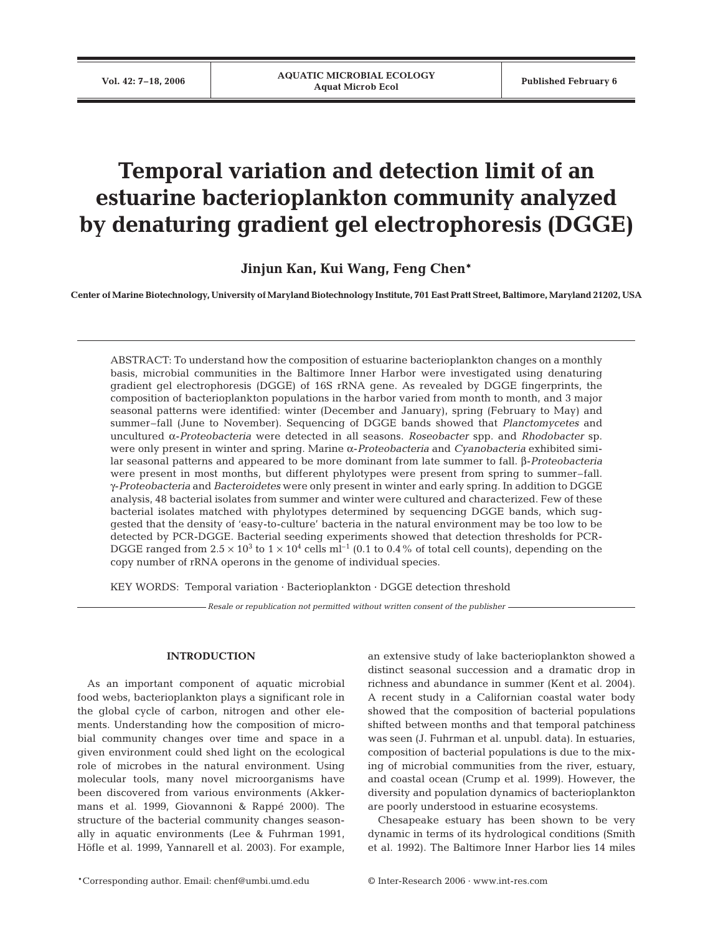# **Temporal variation and detection limit of an estuarine bacterioplankton community analyzed by denaturing gradient gel electrophoresis (DGGE)**

**Jinjun Kan, Kui Wang, Feng Chen\***

**Center of Marine Biotechnology, University of Maryland Biotechnology Institute, 701 East Pratt Street, Baltimore, Maryland 21202, USA**

ABSTRACT: To understand how the composition of estuarine bacterioplankton changes on a monthly basis, microbial communities in the Baltimore Inner Harbor were investigated using denaturing gradient gel electrophoresis (DGGE) of 16S rRNA gene. As revealed by DGGE fingerprints, the composition of bacterioplankton populations in the harbor varied from month to month, and 3 major seasonal patterns were identified: winter (December and January), spring (February to May) and summer–fall (June to November). Sequencing of DGGE bands showed that *Planctomycetes* and uncultured α-*Proteobacteria* were detected in all seasons. *Roseobacter* spp. and *Rhodobacter* sp. were only present in winter and spring. Marine α-*Proteobacteria* and *Cyanobacteria* exhibited similar seasonal patterns and appeared to be more dominant from late summer to fall. β-*Proteobacteria* were present in most months, but different phylotypes were present from spring to summer–fall. γ-*Proteobacteria* and *Bacteroidetes* were only present in winter and early spring. In addition to DGGE analysis, 48 bacterial isolates from summer and winter were cultured and characterized. Few of these bacterial isolates matched with phylotypes determined by sequencing DGGE bands, which suggested that the density of 'easy-to-culture' bacteria in the natural environment may be too low to be detected by PCR-DGGE. Bacterial seeding experiments showed that detection thresholds for PCR-DGGE ranged from  $2.5 \times 10^3$  to  $1 \times 10^4$  cells ml<sup>-1</sup> (0.1 to 0.4% of total cell counts), depending on the copy number of rRNA operons in the genome of individual species.

KEY WORDS: Temporal variation · Bacterioplankton · DGGE detection threshold

*Resale or republication not permitted without written consent of the publisher*

## **INTRODUCTION**

As an important component of aquatic microbial food webs, bacterioplankton plays a significant role in the global cycle of carbon, nitrogen and other elements. Understanding how the composition of microbial community changes over time and space in a given environment could shed light on the ecological role of microbes in the natural environment. Using molecular tools, many novel microorganisms have been discovered from various environments (Akkermans et al. 1999, Giovannoni & Rappé 2000). The structure of the bacterial community changes seasonally in aquatic environments (Lee & Fuhrman 1991, Höfle et al. 1999, Yannarell et al. 2003). For example, an extensive study of lake bacterioplankton showed a distinct seasonal succession and a dramatic drop in richness and abundance in summer (Kent et al. 2004). A recent study in a Californian coastal water body showed that the composition of bacterial populations shifted between months and that temporal patchiness was seen (J. Fuhrman et al. unpubl. data). In estuaries, composition of bacterial populations is due to the mixing of microbial communities from the river, estuary, and coastal ocean (Crump et al. 1999). However, the diversity and population dynamics of bacterioplankton are poorly understood in estuarine ecosystems.

Chesapeake estuary has been shown to be very dynamic in terms of its hydrological conditions (Smith et al. 1992). The Baltimore Inner Harbor lies 14 miles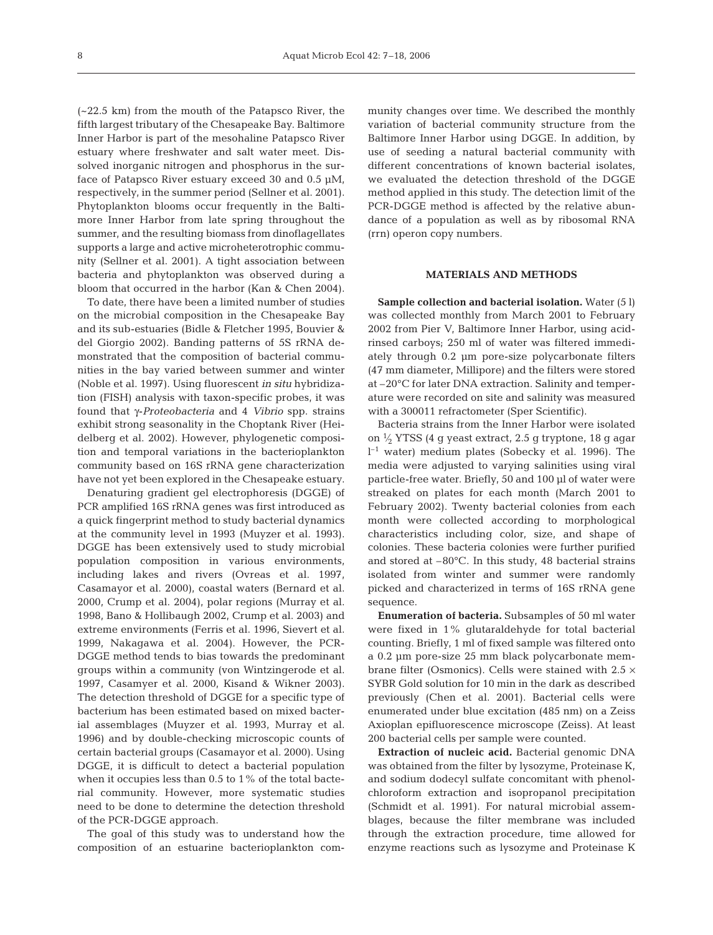(~22.5 km) from the mouth of the Patapsco River, the fifth largest tributary of the Chesapeake Bay. Baltimore Inner Harbor is part of the mesohaline Patapsco River estuary where freshwater and salt water meet. Dissolved inorganic nitrogen and phosphorus in the surface of Patapsco River estuary exceed 30 and 0.5 µM, respectively, in the summer period (Sellner et al. 2001). Phytoplankton blooms occur frequently in the Baltimore Inner Harbor from late spring throughout the summer, and the resulting biomass from dinoflagellates supports a large and active microheterotrophic community (Sellner et al. 2001). A tight association between bacteria and phytoplankton was observed during a bloom that occurred in the harbor (Kan & Chen 2004).

To date, there have been a limited number of studies on the microbial composition in the Chesapeake Bay and its sub-estuaries (Bidle & Fletcher 1995, Bouvier & del Giorgio 2002). Banding patterns of 5S rRNA demonstrated that the composition of bacterial communities in the bay varied between summer and winter (Noble et al. 1997). Using fluorescent *in situ* hybridization (FISH) analysis with taxon-specific probes, it was found that γ-*Proteobacteria* and 4 *Vibrio* spp. strains exhibit strong seasonality in the Choptank River (Heidelberg et al. 2002). However, phylogenetic composition and temporal variations in the bacterioplankton community based on 16S rRNA gene characterization have not yet been explored in the Chesapeake estuary.

Denaturing gradient gel electrophoresis (DGGE) of PCR amplified 16S rRNA genes was first introduced as a quick fingerprint method to study bacterial dynamics at the community level in 1993 (Muyzer et al. 1993). DGGE has been extensively used to study microbial population composition in various environments, including lakes and rivers (Ovreas et al. 1997, Casamayor et al. 2000), coastal waters (Bernard et al. 2000, Crump et al. 2004), polar regions (Murray et al. 1998, Bano & Hollibaugh 2002, Crump et al. 2003) and extreme environments (Ferris et al. 1996, Sievert et al. 1999, Nakagawa et al. 2004). However, the PCR-DGGE method tends to bias towards the predominant groups within a community (von Wintzingerode et al. 1997, Casamyer et al. 2000, Kisand & Wikner 2003). The detection threshold of DGGE for a specific type of bacterium has been estimated based on mixed bacterial assemblages (Muyzer et al. 1993, Murray et al. 1996) and by double-checking microscopic counts of certain bacterial groups (Casamayor et al. 2000). Using DGGE, it is difficult to detect a bacterial population when it occupies less than 0.5 to 1% of the total bacterial community. However, more systematic studies need to be done to determine the detection threshold of the PCR-DGGE approach.

The goal of this study was to understand how the composition of an estuarine bacterioplankton community changes over time. We described the monthly variation of bacterial community structure from the Baltimore Inner Harbor using DGGE. In addition, by use of seeding a natural bacterial community with different concentrations of known bacterial isolates, we evaluated the detection threshold of the DGGE method applied in this study. The detection limit of the PCR-DGGE method is affected by the relative abundance of a population as well as by ribosomal RNA (rrn) operon copy numbers.

## **MATERIALS AND METHODS**

**Sample collection and bacterial isolation.** Water (5 l) was collected monthly from March 2001 to February 2002 from Pier V, Baltimore Inner Harbor, using acidrinsed carboys; 250 ml of water was filtered immediately through 0.2 µm pore-size polycarbonate filters (47 mm diameter, Millipore) and the filters were stored at –20°C for later DNA extraction. Salinity and temperature were recorded on site and salinity was measured with a 300011 refractometer (Sper Scientific).

Bacteria strains from the Inner Harbor were isolated on 1⁄ <sup>2</sup> YTSS (4 g yeast extract, 2.5 g tryptone, 18 g agar l –1 water) medium plates (Sobecky et al. 1996). The media were adjusted to varying salinities using viral particle-free water. Briefly, 50 and 100 µl of water were streaked on plates for each month (March 2001 to February 2002). Twenty bacterial colonies from each month were collected according to morphological characteristics including color, size, and shape of colonies. These bacteria colonies were further purified and stored at –80°C. In this study, 48 bacterial strains isolated from winter and summer were randomly picked and characterized in terms of 16S rRNA gene sequence.

**Enumeration of bacteria.** Subsamples of 50 ml water were fixed in 1% glutaraldehyde for total bacterial counting. Briefly, 1 ml of fixed sample was filtered onto a 0.2 µm pore-size 25 mm black polycarbonate membrane filter (Osmonics). Cells were stained with  $2.5 \times$ SYBR Gold solution for 10 min in the dark as described previously (Chen et al. 2001). Bacterial cells were enumerated under blue excitation (485 nm) on a Zeiss Axioplan epifluorescence microscope (Zeiss). At least 200 bacterial cells per sample were counted.

**Extraction of nucleic acid.** Bacterial genomic DNA was obtained from the filter by lysozyme, Proteinase K, and sodium dodecyl sulfate concomitant with phenolchloroform extraction and isopropanol precipitation (Schmidt et al. 1991). For natural microbial assemblages, because the filter membrane was included through the extraction procedure, time allowed for enzyme reactions such as lysozyme and Proteinase K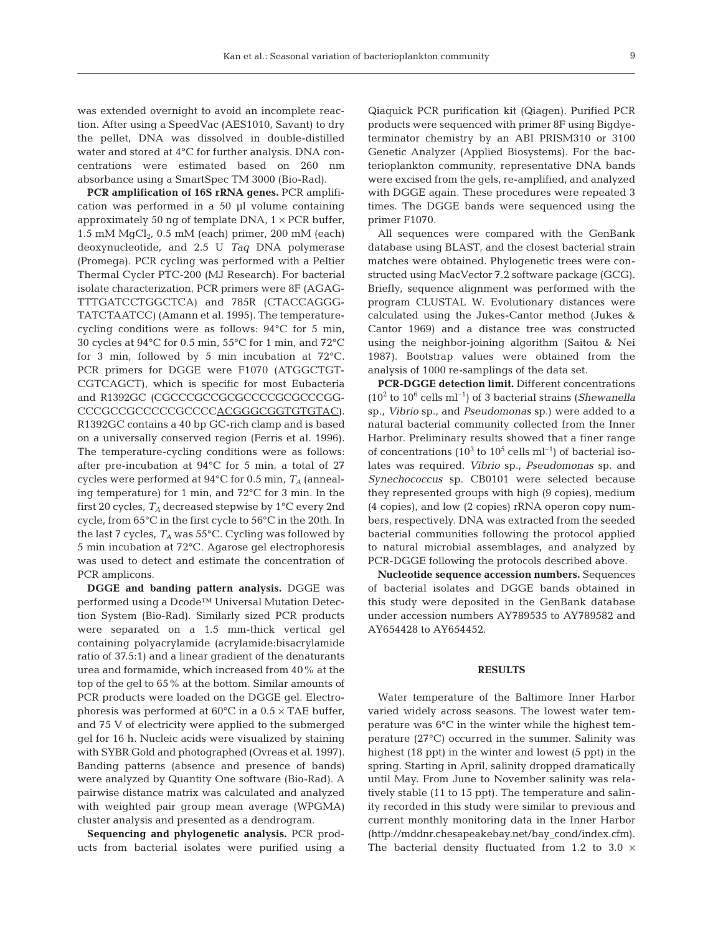was extended overnight to avoid an incomplete reaction. After using a SpeedVac (AES1010, Savant) to dry the pellet, DNA was dissolved in double-distilled water and stored at 4°C for further analysis. DNA concentrations were estimated based on 260 nm absorbance using a SmartSpec TM 3000 (Bio-Rad).

**PCR amplification of 16S rRNA genes.** PCR amplification was performed in a 50 µl volume containing approximately 50 ng of template DNA,  $1 \times PCR$  buffer, 1.5 mM  $MqCl<sub>2</sub>$ , 0.5 mM (each) primer, 200 mM (each) deoxynucleotide, and 2.5 U *Taq* DNA polymerase (Promega). PCR cycling was performed with a Peltier Thermal Cycler PTC-200 (MJ Research). For bacterial isolate characterization, PCR primers were 8F (AGAG-TTTGATCCTGGCTCA) and 785R (CTACCAGGG-TATCTAATCC) (Amann et al. 1995). The temperaturecycling conditions were as follows: 94°C for 5 min, 30 cycles at 94°C for 0.5 min, 55°C for 1 min, and 72°C for 3 min, followed by 5 min incubation at 72°C. PCR primers for DGGE were F1070 (ATGGCTGT-CGTCAGCT), which is specific for most Eubacteria and R1392GC (CGCCCGCCGCGCCCCGCGCCCGG-CCCGCCGCCCCCCCCCCACGGGCGGTGTGTAC). R1392GC contains a 40 bp GC-rich clamp and is based on a universally conserved region (Ferris et al. 1996). The temperature-cycling conditions were as follows: after pre-incubation at 94°C for 5 min, a total of 27 cycles were performed at 94°C for 0.5 min, *T<sup>A</sup>* (annealing temperature) for 1 min, and 72°C for 3 min. In the first 20 cycles, *T<sup>A</sup>* decreased stepwise by 1°C every 2nd cycle, from 65°C in the first cycle to 56°C in the 20th. In the last 7 cycles,  $T_A$  was 55 $\degree$ C. Cycling was followed by 5 min incubation at 72°C. Agarose gel electrophoresis was used to detect and estimate the concentration of PCR amplicons.

**DGGE and banding pattern analysis.** DGGE was performed using a Dcode™ Universal Mutation Detection System (Bio-Rad). Similarly sized PCR products were separated on a 1.5 mm-thick vertical gel containing polyacrylamide (acrylamide:bisacrylamide ratio of 37.5:1) and a linear gradient of the denaturants urea and formamide, which increased from 40% at the top of the gel to 65% at the bottom. Similar amounts of PCR products were loaded on the DGGE gel. Electrophoresis was performed at  $60^{\circ}$ C in a  $0.5 \times$  TAE buffer, and 75 V of electricity were applied to the submerged gel for 16 h. Nucleic acids were visualized by staining with SYBR Gold and photographed (Ovreas et al. 1997). Banding patterns (absence and presence of bands) were analyzed by Quantity One software (Bio-Rad). A pairwise distance matrix was calculated and analyzed with weighted pair group mean average (WPGMA) cluster analysis and presented as a dendrogram.

**Sequencing and phylogenetic analysis.** PCR products from bacterial isolates were purified using a Qiaquick PCR purification kit (Qiagen). Purified PCR products were sequenced with primer 8F using Bigdyeterminator chemistry by an ABI PRISM310 or 3100 Genetic Analyzer (Applied Biosystems). For the bacterioplankton community, representative DNA bands were excised from the gels, re-amplified, and analyzed with DGGE again. These procedures were repeated 3 times. The DGGE bands were sequenced using the primer F1070.

All sequences were compared with the GenBank database using BLAST, and the closest bacterial strain matches were obtained. Phylogenetic trees were constructed using MacVector 7.2 software package (GCG). Briefly, sequence alignment was performed with the program CLUSTAL W. Evolutionary distances were calculated using the Jukes-Cantor method (Jukes & Cantor 1969) and a distance tree was constructed using the neighbor-joining algorithm (Saitou & Nei 1987). Bootstrap values were obtained from the analysis of 1000 re-samplings of the data set.

**PCR-DGGE detection limit.** Different concentrations (10<sup>2</sup> to 106 cells ml–1) of 3 bacterial strains (*Shewanella* sp., *Vibrio* sp., and *Pseudomonas* sp.) were added to a natural bacterial community collected from the Inner Harbor. Preliminary results showed that a finer range of concentrations  $(10^3 \text{ to } 10^5 \text{ cells } \text{ml}^{-1})$  of bacterial isolates was required. *Vibrio* sp., *Pseudomonas* sp. and *Synechococcus* sp. CB0101 were selected because they represented groups with high (9 copies), medium (4 copies), and low (2 copies) rRNA operon copy numbers, respectively. DNA was extracted from the seeded bacterial communities following the protocol applied to natural microbial assemblages, and analyzed by PCR-DGGE following the protocols described above.

**Nucleotide sequence accession numbers.** Sequences of bacterial isolates and DGGE bands obtained in this study were deposited in the GenBank database under accession numbers AY789535 to AY789582 and AY654428 to AY654452.

#### **RESULTS**

Water temperature of the Baltimore Inner Harbor varied widely across seasons. The lowest water temperature was 6°C in the winter while the highest temperature (27°C) occurred in the summer. Salinity was highest (18 ppt) in the winter and lowest (5 ppt) in the spring. Starting in April, salinity dropped dramatically until May. From June to November salinity was relatively stable (11 to 15 ppt). The temperature and salinity recorded in this study were similar to previous and current monthly monitoring data in the Inner Harbor (http://mddnr.chesapeakebay.net/bay\_cond/index.cfm). The bacterial density fluctuated from 1.2 to 3.0  $\times$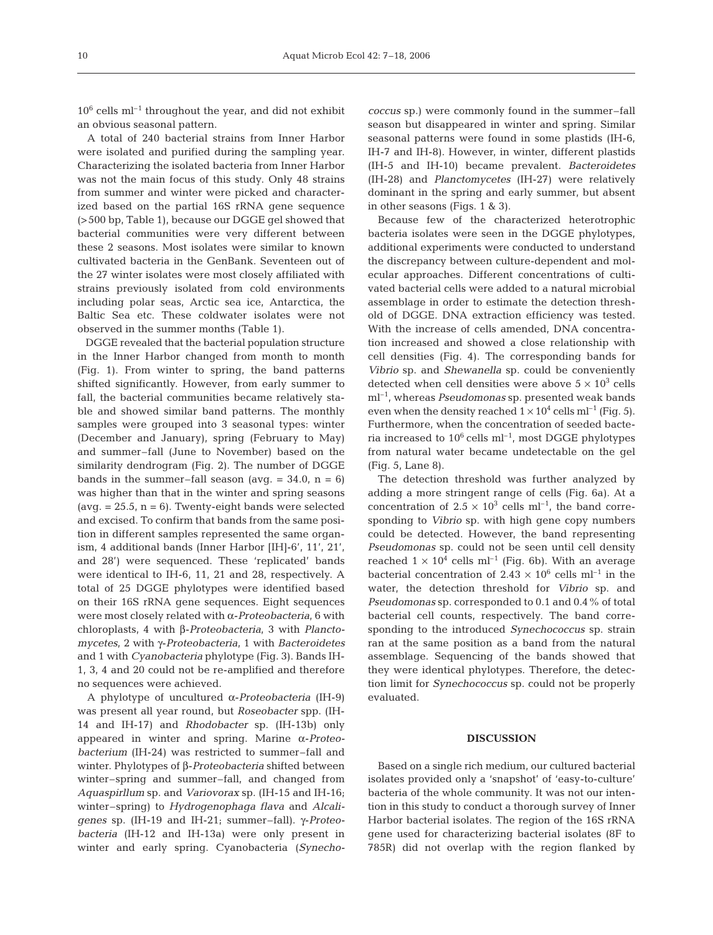$10^6$  cells ml<sup>-1</sup> throughout the year, and did not exhibit an obvious seasonal pattern.

A total of 240 bacterial strains from Inner Harbor were isolated and purified during the sampling year. Characterizing the isolated bacteria from Inner Harbor was not the main focus of this study. Only 48 strains from summer and winter were picked and characterized based on the partial 16S rRNA gene sequence (>500 bp, Table 1), because our DGGE gel showed that bacterial communities were very different between these 2 seasons. Most isolates were similar to known cultivated bacteria in the GenBank. Seventeen out of the 27 winter isolates were most closely affiliated with strains previously isolated from cold environments including polar seas, Arctic sea ice, Antarctica, the Baltic Sea etc. These coldwater isolates were not observed in the summer months (Table 1).

DGGE revealed that the bacterial population structure in the Inner Harbor changed from month to month (Fig. 1). From winter to spring, the band patterns shifted significantly. However, from early summer to fall, the bacterial communities became relatively stable and showed similar band patterns. The monthly samples were grouped into 3 seasonal types: winter (December and January), spring (February to May) and summer–fall (June to November) based on the similarity dendrogram (Fig. 2). The number of DGGE bands in the summer–fall season (avg.  $= 34.0$ ,  $n = 6$ ) was higher than that in the winter and spring seasons  $(avg. = 25.5, n = 6)$ . Twenty-eight bands were selected and excised. To confirm that bands from the same position in different samples represented the same organism, 4 additional bands (Inner Harbor [IH]-6', 11', 21', and 28') were sequenced. These 'replicated' bands were identical to IH-6, 11, 21 and 28, respectively. A total of 25 DGGE phylotypes were identified based on their 16S rRNA gene sequences. Eight sequences were most closely related with α-*Proteobacteria*, 6 with chloroplasts, 4 with β-*Proteobacteria*, 3 with *Planctomycetes*, 2 with γ-*Proteobacteria*, 1 with *Bacteroidetes* and 1 with *Cyanobacteria* phylotype (Fig. 3). Bands IH-1, 3, 4 and 20 could not be re-amplified and therefore no sequences were achieved.

A phylotype of uncultured α-*Proteobacteria* (IH-9) was present all year round, but *Roseobacter* spp. (IH-14 and IH-17) and *Rhodobacter* sp. (IH-13b) only appeared in winter and spring. Marine α-*Proteobacterium* (IH-24) was restricted to summer–fall and winter. Phylotypes of β-*Proteobacteria* shifted between winter–spring and summer–fall, and changed from *Aquaspirllum* sp. and *Variovorax* sp. (IH-15 and IH-16; winter–spring) to *Hydrogenophaga flava* and *Alcaligenes* sp. (IH-19 and IH-21; summer–fall). γ-*Proteobacteria* (IH-12 and IH-13a) were only present in winter and early spring. Cyanobacteria (*Synecho-* *coccus* sp*.*) were commonly found in the summer–fall season but disappeared in winter and spring. Similar seasonal patterns were found in some plastids (IH-6, IH-7 and IH-8). However, in winter, different plastids (IH-5 and IH-10) became prevalent. *Bacteroidetes* (IH-28) and *Planctomycetes* (IH-27) were relatively dominant in the spring and early summer, but absent in other seasons (Figs. 1 & 3).

Because few of the characterized heterotrophic bacteria isolates were seen in the DGGE phylotypes, additional experiments were conducted to understand the discrepancy between culture-dependent and molecular approaches. Different concentrations of cultivated bacterial cells were added to a natural microbial assemblage in order to estimate the detection threshold of DGGE. DNA extraction efficiency was tested. With the increase of cells amended, DNA concentration increased and showed a close relationship with cell densities (Fig. 4). The corresponding bands for *Vibrio* sp. and *Shewanella* sp. could be conveniently detected when cell densities were above  $5 \times 10^3$  cells ml–1, whereas *Pseudomonas* sp. presented weak bands even when the density reached  $1 \times 10^4$  cells ml<sup>-1</sup> (Fig. 5). Furthermore, when the concentration of seeded bacteria increased to  $10^6$  cells ml<sup>-1</sup>, most DGGE phylotypes from natural water became undetectable on the gel (Fig. 5, Lane 8).

The detection threshold was further analyzed by adding a more stringent range of cells (Fig. 6a). At a concentration of  $2.5 \times 10^3$  cells ml<sup>-1</sup>, the band corresponding to *Vibrio* sp. with high gene copy numbers could be detected. However, the band representing *Pseudomonas* sp. could not be seen until cell density reached  $1 \times 10^4$  cells ml<sup>-1</sup> (Fig. 6b). With an average bacterial concentration of 2.43  $\times$  10<sup>6</sup> cells ml<sup>-1</sup> in the water, the detection threshold for *Vibrio* sp. and *Pseudomonas* sp. corresponded to 0.1 and 0.4% of total bacterial cell counts, respectively. The band corresponding to the introduced *Synechococcus* sp. strain ran at the same position as a band from the natural assemblage. Sequencing of the bands showed that they were identical phylotypes. Therefore, the detection limit for *Synechococcus* sp. could not be properly evaluated.

## **DISCUSSION**

Based on a single rich medium, our cultured bacterial isolates provided only a 'snapshot' of 'easy-to-culture' bacteria of the whole community. It was not our intention in this study to conduct a thorough survey of Inner Harbor bacterial isolates. The region of the 16S rRNA gene used for characterizing bacterial isolates (8F to 785R) did not overlap with the region flanked by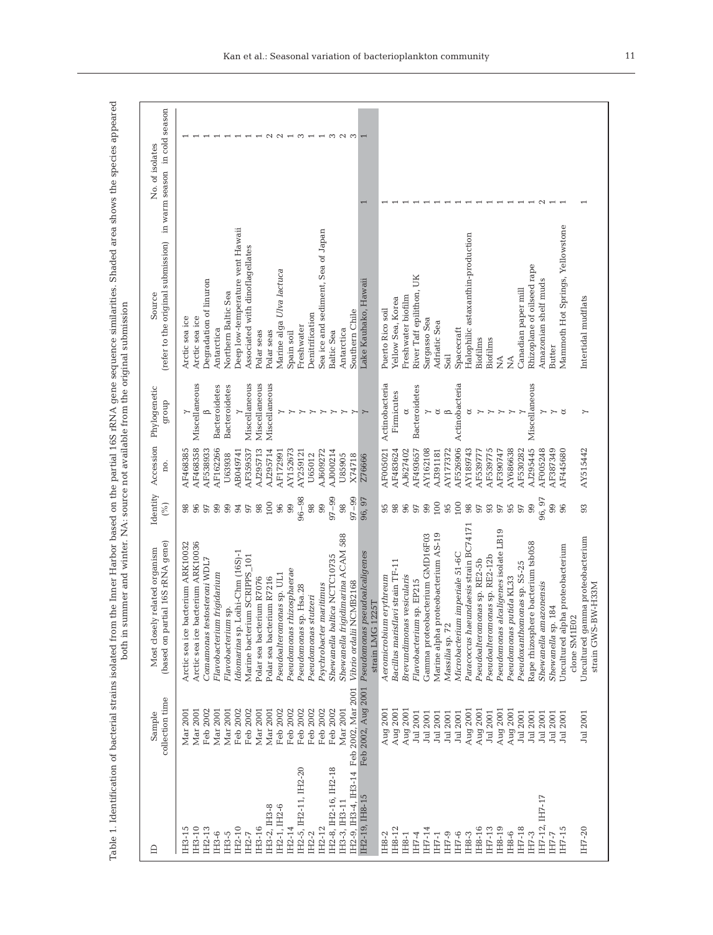| $\triangle$                             | collection time<br>Sample | (based on partial 16S rRNA gene)<br>Most closely related organism | Identity<br>(%) | Accession<br>no. | Phylogenetic<br>dronb | (refer to the original submission)<br>Source       | in warm season in cold season<br>No. of isolates |
|-----------------------------------------|---------------------------|-------------------------------------------------------------------|-----------------|------------------|-----------------------|----------------------------------------------------|--------------------------------------------------|
| IH3-15                                  | Mar 2001                  | Arctic sea ice bacterium ARK10032                                 | 98              | AF468385         |                       | Arctic sea ice                                     |                                                  |
| IH3-10                                  | Mar 2001                  | Arctic sea ice bacterium ARK10036                                 | 96              | AF468358         | Miscellaneous         | Arctic sea ice                                     |                                                  |
| IH2-13                                  | Feb 2002                  | Comamonas testosteroni WDL7                                       | 97              | AF538933         |                       | Degradation of linuron                             |                                                  |
| IH3-6                                   | Mar 2001                  | Flavobacterium frigidarium                                        | 99              | AF162266         | <b>Bacteroidetes</b>  | Antarctica                                         |                                                  |
| IH3-5                                   | Mar 2001                  | Flavobacterium                                                    | 99              | U63938           | Bacteroidetes         | Northern Baltic Sea                                |                                                  |
| IH2-10                                  | Feb 2002                  | Idiomarina sp. Loihi-Chm (16S)-1                                  | 94              | AB049741         |                       | Deep low-temperature vent Hawaii                   |                                                  |
| IH2-7                                   | Feb 2002                  | Marine bacterium SCRIPPS_101                                      | 97              | AF359537         | Miscellaneous         | Associated with dinoflagellates                    |                                                  |
| IH3-16                                  | Mar 2001                  | Polar sea bacterium R7076                                         | 98              | AJ295713         | Miscellaneous         | Polar seas                                         |                                                  |
| IH3-2, IH3-8                            | Mar 2001                  | Polar sea bacterium R7216                                         | 100             | AJ295714         | Miscellaneous         | Polar seas                                         |                                                  |
| IH2-1, IH2-6                            | Feb 2002                  | Pseudoalteromonas sp. UL1                                         | 96              | AF172991         |                       | Marine alga Ulva lactuca                           |                                                  |
| IH2-14                                  | Feb 2002                  | Pseudomonas rhizosphaerae                                         | 99              | AY152673         |                       | Spain soil                                         |                                                  |
| IH2-5, IH2-11, IH2-20                   | Feb 2002                  | Pseudomonas sp. Hsa.28                                            | $96 - 98$       | AY259121         |                       | Freshwater                                         | S                                                |
| IH2-2                                   | Feb 2002                  | Pseudomonas stutzeri                                              | 98              | U65012           |                       | Denitrification                                    |                                                  |
| IH2-12                                  | Feb 2002                  | Psychrobacter maritimus                                           | 99              | AJ609272         | ≻                     | Sea ice and sediment, Sea of Japan                 | $\overline{a}$                                   |
| IH2-8, IH2-16, IH2-18                   | Feb 2002                  | Shewanella baltica NCTC10735                                      | $97 - 99$       | AJ000214         | ≻                     | <b>Baltic Sea</b>                                  |                                                  |
| IH3-3, IH3-11                           | Mar 2001                  | Shewanella frigidimarina ACAM 588                                 | 98              | U85905           |                       | Antarctica                                         | $\sim$                                           |
| IH2-9, IH3-4, IH3-14 Feb 2002, Mar 2001 |                           | Vibrio ordalii NCMB2168                                           | $97 - 99$       | X74718           |                       | Southern Chile                                     | S                                                |
| IH2-19, IH8-15                          | Feb 2002, Aug 2001        | Pseudomonas pseudoalcaligenes<br>strain LMG 1225T                 | 96, 97          | Z76666           |                       | Lake Kauhako, Hawaii                               |                                                  |
| IH8-2                                   | Aug 2001                  | A eromicrobium ervthreum                                          | 95              | AF005021         | Actinobacteria        | Puerto Rico soil                                   |                                                  |
| IH8-12                                  | Aug 2001                  | Bacillus marisflavi strain TF-11                                  | 98              | AF483624         | Firmicutes            | Yellow Sea, Korea                                  |                                                  |
| IH8-1                                   | Aug 2001                  | Brevundimonas vesicularis                                         | 96              | AJ627402         |                       | Freshwater biofilm                                 |                                                  |
| IH7-4                                   | Jul 2001                  | sp. EP215<br>Flavobacterium                                       | 97              | AF493657         | <b>Bacteroidetes</b>  | UK<br>River Taff epilithon,                        |                                                  |
| IH7-14                                  | Jul 2001                  | Gamma proteobacterium GMD16F03                                    | 99              | AY162108         |                       | Sargasso Sea                                       |                                                  |
| IH7-1                                   | Jul 2001                  | Marine alpha proteobacterium AS-19                                | 100             | AJ391181         | ర                     | Adriatic Sea                                       |                                                  |
| IH7-9                                   | Jul 2001                  | Massilia sp. 72                                                   | 95              | AY177372         | $\circ$               | Soil                                               |                                                  |
| IH7-6                                   | Jul 2001                  | Microbacterium imperiale 51-6C                                    | 100             | AF526906         | Actinobacteria        | Spacecraft                                         |                                                  |
| IH8-3                                   | Aug 2001                  | Paracoccus haeundaesis strain BC74171                             | 98              | AY189743         | ಠ                     | Halophilic astaxanthin-production                  |                                                  |
| IH8-16                                  | Aug 2001                  | Pseudoalteromonas sp. RE2-5b                                      | $97$            | AF539777         |                       | Biofilms                                           |                                                  |
| IH7-13                                  | Jul 2001                  | Pseudoalteromonas sp. RE2-12b                                     | 93              | AF539775         |                       | Biofilms                                           |                                                  |
| IH8-19                                  | Aug 2001                  | Pseudomonas alcaligenes isolate LB19                              | $97$            | AF390747         |                       | $\mathop{\leq}\limits_{{\mathop{\rm \mathsf{Z}}}}$ |                                                  |
| IH8-6                                   | Aug 2001                  | Pseudomonas putida KL33                                           | 95              | AY686638         |                       | ź                                                  |                                                  |
| IH7-18                                  | Jul 2001                  | Pseudoxanthomonas sp. S5-25                                       | $97$            | AF530282         |                       | Canadian paper mill                                |                                                  |
| IH7-3                                   | Jul 2001                  | Rape rhizosphere bacterium tsb058                                 | 99              | AJ295445         | Miscellaneous         | Rhizoplane of oilseed rape                         |                                                  |
| IH7-12, IH7-17                          | Jul 2001                  | Shewanella amazonensis                                            | 96,97           | AF005248         |                       | Amazonian shelf muds                               |                                                  |
| $I - L$                                 | Jul 2001                  | Shewanella sp. 184                                                | 99              | AF387349         |                       | Butter                                             |                                                  |
| IH7-15                                  | Jul 2001                  | Uncultured alpha proteobacterium<br>clone SM1E02                  | 96              | AF445680         | ಠ                     | Mammoth Hot Springs, Yellowstone                   |                                                  |
| IH7-20                                  | Jul 2001                  | Uncultured gamma proteobacterium                                  | 93              | AY515442         |                       | Intertidal mudflats                                |                                                  |
|                                         |                           | strain GWS-BW-H33M                                                |                 |                  |                       |                                                    |                                                  |

Table 1. Identification of bacterial strains isolated from the Inner Harbor based on the partial 16S rRNA gene sequence similarities. Shaded area shows the species appeared Table 1. Identification of bacterial strains isolated from the Inner Harbor based on the partial 16S rRNA gene sequence similarities. Shaded area shows the species appeared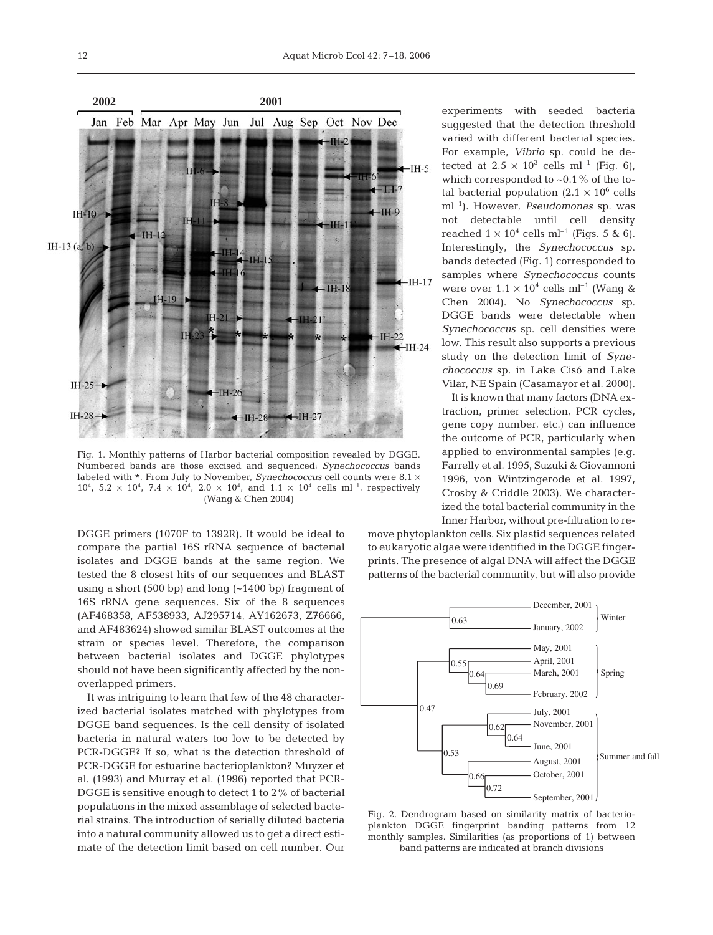Fig. 1. Monthly patterns of Harbor bacterial composition revealed by DGGE. Numbered bands are those excised and sequenced; *Synechococcus* bands labeled with \*. From July to November, *Synechococcus* cell counts were 8.1 <sup>×</sup>  $10^4$ ,  $5.2 \times 10^4$ ,  $7.4 \times 10^4$ ,  $2.0 \times 10^4$ , and  $1.1 \times 10^4$  cells ml<sup>-1</sup>, respectively (Wang & Chen 2004)

DGGE primers (1070F to 1392R). It would be ideal to compare the partial 16S rRNA sequence of bacterial isolates and DGGE bands at the same region. We tested the 8 closest hits of our sequences and BLAST using a short (500 bp) and long (~1400 bp) fragment of 16S rRNA gene sequences. Six of the 8 sequences (AF468358, AF538933, AJ295714, AY162673, Z76666, and AF483624) showed similar BLAST outcomes at the strain or species level. Therefore, the comparison between bacterial isolates and DGGE phylotypes should not have been significantly affected by the nonoverlapped primers.

It was intriguing to learn that few of the 48 characterized bacterial isolates matched with phylotypes from DGGE band sequences. Is the cell density of isolated bacteria in natural waters too low to be detected by PCR-DGGE? If so, what is the detection threshold of PCR-DGGE for estuarine bacterioplankton? Muyzer et al. (1993) and Murray et al. (1996) reported that PCR-DGGE is sensitive enough to detect 1 to 2% of bacterial populations in the mixed assemblage of selected bacterial strains. The introduction of serially diluted bacteria into a natural community allowed us to get a direct estimate of the detection limit based on cell number. Our experiments with seeded bacteria suggested that the detection threshold varied with different bacterial species. For example, *Vibrio* sp. could be detected at  $2.5 \times 10^3$  cells ml<sup>-1</sup> (Fig. 6). which corresponded to  $\sim 0.1\%$  of the total bacterial population  $(2.1 \times 10^6 \text{ cells})$ ml–1). However, *Pseudomonas* sp. was not detectable until cell density reached  $1 \times 10^4$  cells ml<sup>-1</sup> (Figs. 5 & 6). Interestingly, the *Synechococcus* sp. bands detected (Fig. 1) corresponded to samples where *Synechococcus* counts were over  $1.1 \times 10^4$  cells ml<sup>-1</sup> (Wang & Chen 2004). No *Synechococcus* sp. DGGE bands were detectable when *Synechococcus* sp. cell densities were low. This result also supports a previous study on the detection limit of *Synechococcus* sp. in Lake Cisó and Lake Vilar, NE Spain (Casamayor et al. 2000).

It is known that many factors (DNA extraction, primer selection, PCR cycles, gene copy number, etc.) can influence the outcome of PCR, particularly when applied to environmental samples (e.g. Farrelly et al. 1995, Suzuki & Giovannoni 1996, von Wintzingerode et al. 1997, Crosby & Criddle 2003). We characterized the total bacterial community in the Inner Harbor, without pre-filtration to re-

move phytoplankton cells. Six plastid sequences related to eukaryotic algae were identified in the DGGE fingerprints. The presence of algal DNA will affect the DGGE patterns of the bacterial community, but will also provide





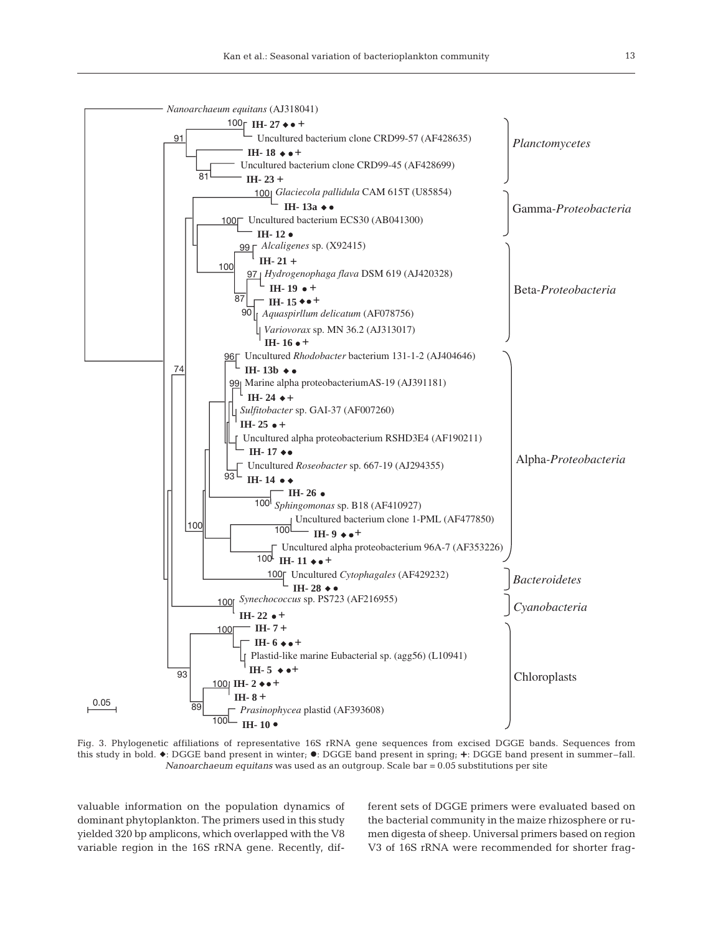

Fig. 3. Phylogenetic affiliations of representative 16S rRNA gene sequences from excised DGGE bands. Sequences from this study in bold.  $\bullet$ : DGGE band present in winter;  $\bullet$ : DGGE band present in spring;  $\bullet$ : DGGE band present in summer-fall. *Nanoarchaeum equitans* was used as an outgroup. Scale bar = 0.05 substitutions per site

valuable information on the population dynamics of dominant phytoplankton. The primers used in this study yielded 320 bp amplicons, which overlapped with the V8 variable region in the 16S rRNA gene. Recently, different sets of DGGE primers were evaluated based on the bacterial community in the maize rhizosphere or rumen digesta of sheep. Universal primers based on region V3 of 16S rRNA were recommended for shorter frag-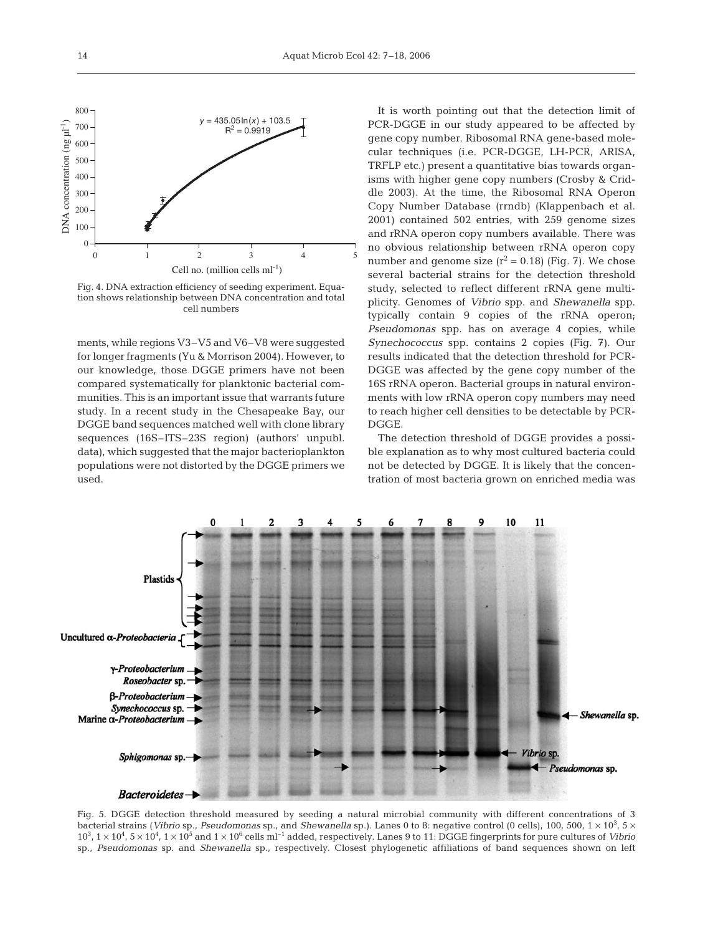

Fig. 4. DNA extraction efficiency of seeding experiment. Equation shows relationship between DNA concentration and total cell numbers

ments, while regions V3–V5 and V6–V8 were suggested for longer fragments (Yu & Morrison 2004). However, to our knowledge, those DGGE primers have not been compared systematically for planktonic bacterial communities. This is an important issue that warrants future study. In a recent study in the Chesapeake Bay, our DGGE band sequences matched well with clone library sequences (16S–ITS–23S region) (authors' unpubl. data), which suggested that the major bacterioplankton populations were not distorted by the DGGE primers we used.

It is worth pointing out that the detection limit of PCR-DGGE in our study appeared to be affected by gene copy number. Ribosomal RNA gene-based molecular techniques (i.e. PCR-DGGE, LH-PCR, ARISA, TRFLP etc.) present a quantitative bias towards organisms with higher gene copy numbers (Crosby & Criddle 2003). At the time, the Ribosomal RNA Operon Copy Number Database (rrndb) (Klappenbach et al. 2001) contained 502 entries, with 259 genome sizes and rRNA operon copy numbers available. There was no obvious relationship between rRNA operon copy number and genome size  $(r^2 = 0.18)$  (Fig. 7). We chose several bacterial strains for the detection threshold study, selected to reflect different rRNA gene multiplicity. Genomes of *Vibrio* spp. and *Shewanella* spp. typically contain 9 copies of the rRNA operon; *Pseudomonas* spp. has on average 4 copies, while *Synechococcus* spp. contains 2 copies (Fig. 7). Our results indicated that the detection threshold for PCR-DGGE was affected by the gene copy number of the 16S rRNA operon. Bacterial groups in natural environments with low rRNA operon copy numbers may need to reach higher cell densities to be detectable by PCR-**DGGE** 

The detection threshold of DGGE provides a possible explanation as to why most cultured bacteria could not be detected by DGGE. It is likely that the concentration of most bacteria grown on enriched media was



Fig. 5. DGGE detection threshold measured by seeding a natural microbial community with different concentrations of 3 bacterial strains (*Vibrio* sp., *Pseudomonas* sp., and *Shewanella* sp.). Lanes 0 to 8: negative control (0 cells), 100, 500, 1 × 10<sup>3</sup>, 5 ×  $10^3$ ,  $1 \times 10^4$ ,  $5 \times 10^4$ ,  $1 \times 10^5$  and  $1 \times 10^6$  cells m<sup>1-1</sup> added, respectively. Lanes 9 to 11: DGGE fingerprints for pure cultures of *Vibrio* sp., *Pseudomonas* sp. and *Shewanella* sp., respectively. Closest phylogenetic affiliations of band sequences shown on left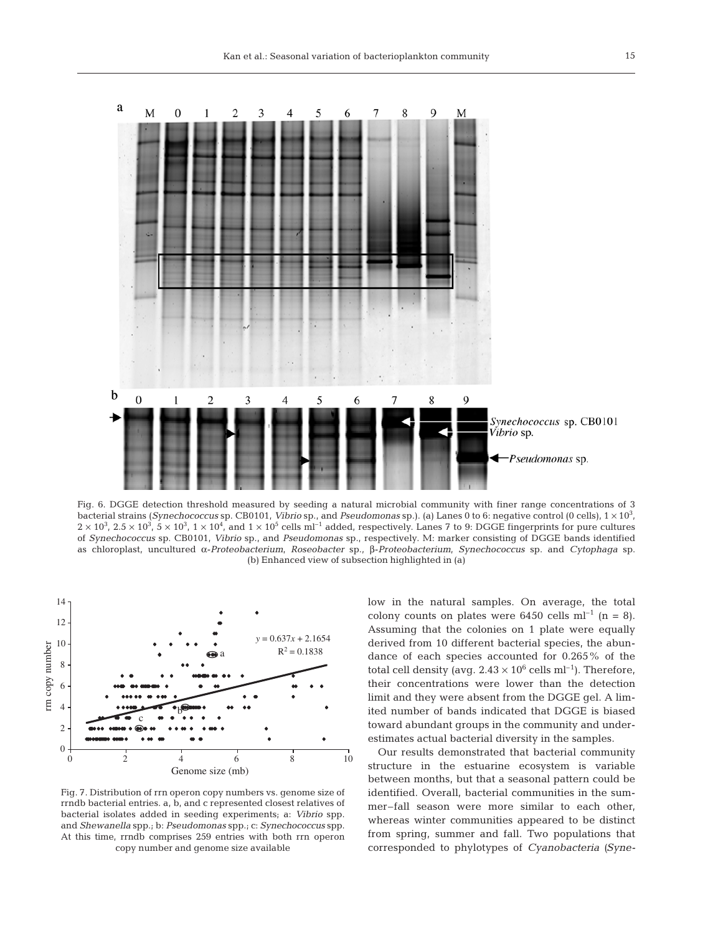

Fig. 6. DGGE detection threshold measured by seeding a natural microbial community with finer range concentrations of 3 bacterial strains (*Synechococcus* sp. CB0101, *Vibrio* sp., and *Pseudomonas* sp.). (a) Lanes 0 to 6: negative control (0 cells), 1 × 10<sup>3</sup> ,  $2 \times 10^3$ ,  $2.5 \times 10^3$ ,  $5 \times 10^3$ ,  $1 \times 10^4$ , and  $1 \times 10^5$  cells ml<sup>-1</sup> added, respectively. Lanes 7 to 9: DGGE fingerprints for pure cultures of *Synechococcus* sp. CB0101, *Vibrio* sp., and *Pseudomonas* sp., respectively. M: marker consisting of DGGE bands identified as chloroplast, uncultured α-*Proteobacterium*, *Roseobacter* sp., β-*Proteobacterium*, *Synechococcus* sp. and *Cytophaga* sp. (b) Enhanced view of subsection highlighted in (a)



Fig. 7. Distribution of rrn operon copy numbers vs. genome size of rrndb bacterial entries. a, b, and c represented closest relatives of bacterial isolates added in seeding experiments; a: *Vibrio* spp. and *Shewanella* spp.; b: *Pseudomonas* spp.; c: *Synechococcus* spp. At this time, rrndb comprises 259 entries with both rrn operon copy number and genome size available

low in the natural samples. On average, the total colony counts on plates were 6450 cells  $ml^{-1}$  (n = 8). Assuming that the colonies on 1 plate were equally derived from 10 different bacterial species, the abundance of each species accounted for 0.265% of the total cell density (avg.  $2.43 \times 10^6$  cells ml<sup>-1</sup>). Therefore, their concentrations were lower than the detection limit and they were absent from the DGGE gel. A limited number of bands indicated that DGGE is biased toward abundant groups in the community and underestimates actual bacterial diversity in the samples.

Our results demonstrated that bacterial community structure in the estuarine ecosystem is variable between months, but that a seasonal pattern could be identified. Overall, bacterial communities in the summer–fall season were more similar to each other, whereas winter communities appeared to be distinct from spring, summer and fall. Two populations that corresponded to phylotypes of *Cyanobacteria (Syne-*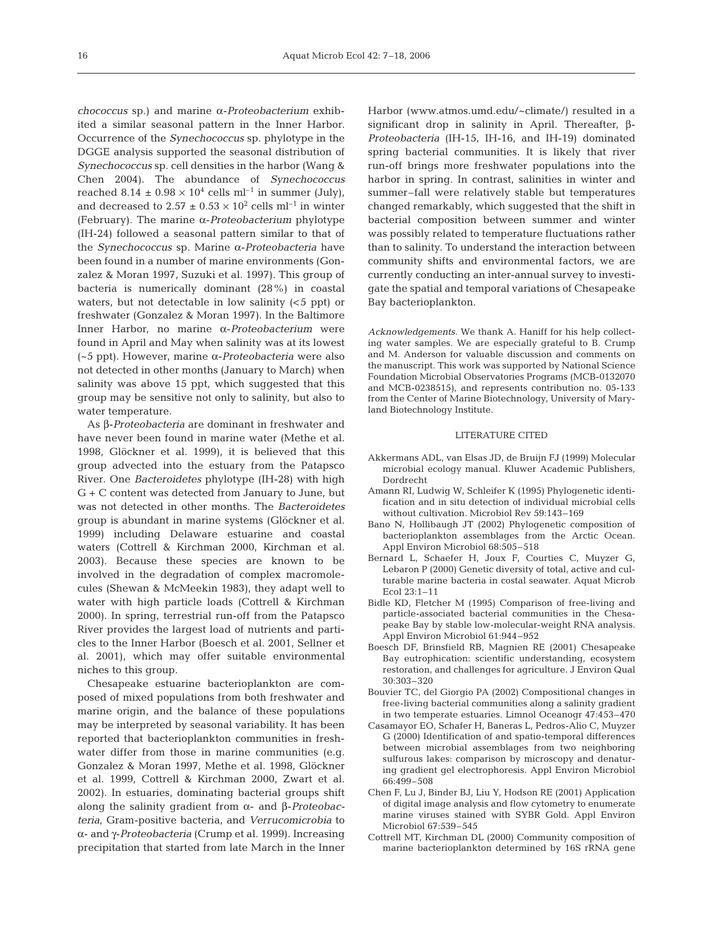*chococcus* sp.) and marine α-*Proteobacterium* exhibited a similar seasonal pattern in the Inner Harbor. Occurrence of the *Synechococcus* sp. phylotype in the DGGE analysis supported the seasonal distribution of *Synechococcus* sp. cell densities in the harbor (Wang & Chen 2004). The abundance of *Synechococcus* reached 8.14  $\pm$  0.98  $\times$  10<sup>4</sup> cells ml<sup>-1</sup> in summer (July), and decreased to 2.57  $\pm$  0.53  $\times$  10<sup>2</sup> cells ml<sup>-1</sup> in winter (February). The marine α-*Proteobacterium* phylotype (IH-24) followed a seasonal pattern similar to that of the *Synechococcus* sp. Marine α-*Proteobacteria* have been found in a number of marine environments (Gonzalez & Moran 1997, Suzuki et al. 1997). This group of bacteria is numerically dominant (28%) in coastal waters, but not detectable in low salinity  $(<5$  ppt) or freshwater (Gonzalez & Moran 1997). In the Baltimore Inner Harbor, no marine α-*Proteobacterium* were found in April and May when salinity was at its lowest (~5 ppt). However, marine α-*Proteobacteria* were also not detected in other months (January to March) when salinity was above 15 ppt, which suggested that this group may be sensitive not only to salinity, but also to water temperature.

As β-*Proteobacteria* are dominant in freshwater and have never been found in marine water (Methe et al. 1998, Glöckner et al. 1999), it is believed that this group advected into the estuary from the Patapsco River. One *Bacteroidetes* phylotype (IH-28) with high G + C content was detected from January to June, but was not detected in other months. The *Bacteroidetes* group is abundant in marine systems (Glöckner et al. 1999) including Delaware estuarine and coastal waters (Cottrell & Kirchman 2000, Kirchman et al. 2003). Because these species are known to be involved in the degradation of complex macromolecules (Shewan & McMeekin 1983), they adapt well to water with high particle loads (Cottrell & Kirchman 2000). In spring, terrestrial run-off from the Patapsco River provides the largest load of nutrients and particles to the Inner Harbor (Boesch et al. 2001, Sellner et al. 2001), which may offer suitable environmental niches to this group.

Chesapeake estuarine bacterioplankton are composed of mixed populations from both freshwater and marine origin, and the balance of these populations may be interpreted by seasonal variability. It has been reported that bacterioplankton communities in freshwater differ from those in marine communities (e.g. Gonzalez & Moran 1997, Methe et al. 1998, Glöckner et al. 1999, Cottrell & Kirchman 2000, Zwart et al. 2002). In estuaries, dominating bacterial groups shift along the salinity gradient from α- and β-*Proteobacteria*, Gram-positive bacteria, and *Verrucomicrobia* to α- and γ-*Proteobacteria* (Crump et al. 1999). Increasing precipitation that started from late March in the Inner

Harbor (www.atmos.umd.edu/~climate/) resulted in a significant drop in salinity in April. Thereafter, β-*Proteobacteria* (IH-15, IH-16, and IH-19) dominated spring bacterial communities. It is likely that river run-off brings more freshwater populations into the harbor in spring. In contrast, salinities in winter and summer–fall were relatively stable but temperatures changed remarkably, which suggested that the shift in bacterial composition between summer and winter was possibly related to temperature fluctuations rather than to salinity. To understand the interaction between community shifts and environmental factors, we are currently conducting an inter-annual survey to investigate the spatial and temporal variations of Chesapeake Bay bacterioplankton.

*Acknowledgements*. We thank A. Haniff for his help collecting water samples. We are especially grateful to B. Crump and M. Anderson for valuable discussion and comments on the manuscript. This work was supported by National Science Foundation Microbial Observatories Programs (MCB-0132070 and MCB-0238515), and represents contribution no. 05-133 from the Center of Marine Biotechnology, University of Maryland Biotechnology Institute.

### LITERATURE CITED

- Akkermans ADL, van Elsas JD, de Bruijn FJ (1999) Molecular microbial ecology manual. Kluwer Academic Publishers, Dordrecht
- Amann RI, Ludwig W, Schleifer K (1995) Phylogenetic identification and in situ detection of individual microbial cells without cultivation. Microbiol Rev 59:143–169
- Bano N, Hollibaugh JT (2002) Phylogenetic composition of bacterioplankton assemblages from the Arctic Ocean. Appl Environ Microbiol 68:505–518
- Bernard L, Schaefer H, Joux F, Courties C, Muyzer G, Lebaron P (2000) Genetic diversity of total, active and culturable marine bacteria in costal seawater. Aquat Microb Ecol 23:1–11
- Bidle KD, Fletcher M (1995) Comparison of free-living and particle-associated bacterial communities in the Chesapeake Bay by stable low-molecular-weight RNA analysis. Appl Environ Microbiol 61:944–952
- Boesch DF, Brinsfield RB, Magnien RE (2001) Chesapeake Bay eutrophication: scientific understanding, ecosystem restoration, and challenges for agriculture. J Environ Qual 30:303–320
- Bouvier TC, del Giorgio PA (2002) Compositional changes in free-living bacterial communities along a salinity gradient in two temperate estuaries. Limnol Oceanogr 47:453–470
- Casamayor EO, Schafer H, Baneras L, Pedros-Alio C, Muyzer G (2000) Identification of and spatio-temporal differences between microbial assemblages from two neighboring sulfurous lakes: comparison by microscopy and denaturing gradient gel electrophoresis. Appl Environ Microbiol 66:499–508
- Chen F, Lu J, Binder BJ, Liu Y, Hodson RE (2001) Application of digital image analysis and flow cytometry to enumerate marine viruses stained with SYBR Gold. Appl Environ Microbiol 67:539–545
- Cottrell MT, Kirchman DL (2000) Community composition of marine bacterioplankton determined by 16S rRNA gene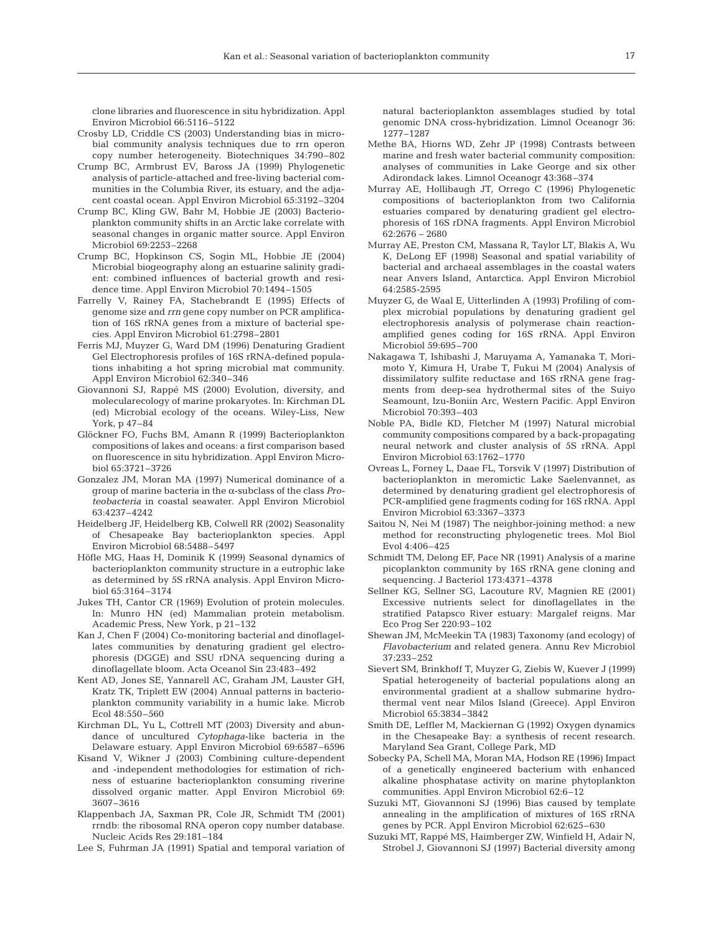clone libraries and fluorescence in situ hybridization. Appl Environ Microbiol 66:5116–5122

- Crosby LD, Criddle CS (2003) Understanding bias in microbial community analysis techniques due to rrn operon copy number heterogeneity. Biotechniques 34:790–802
- Crump BC, Armbrust EV, Baross JA (1999) Phylogenetic analysis of particle-attached and free-living bacterial communities in the Columbia River, its estuary, and the adjacent coastal ocean. Appl Environ Microbiol 65:3192–3204
- Crump BC, Kling GW, Bahr M, Hobbie JE (2003) Bacterioplankton community shifts in an Arctic lake correlate with seasonal changes in organic matter source. Appl Environ Microbiol 69:2253–2268
- Crump BC, Hopkinson CS, Sogin ML, Hobbie JE (2004) Microbial biogeography along an estuarine salinity gradient: combined influences of bacterial growth and residence time. Appl Environ Microbiol 70:1494–1505
- Farrelly V, Rainey FA, Stachebrandt E (1995) Effects of genome size and *rrn* gene copy number on PCR amplification of 16S rRNA genes from a mixture of bacterial species. Appl Environ Microbiol 61:2798–2801
- Ferris MJ, Muyzer G, Ward DM (1996) Denaturing Gradient Gel Electrophoresis profiles of 16S rRNA-defined populations inhabiting a hot spring microbial mat community. Appl Environ Microbiol 62:340–346
- Giovannoni SJ, Rappé MS (2000) Evolution, diversity, and molecularecology of marine prokaryotes. In: Kirchman DL (ed) Microbial ecology of the oceans. Wiley-Liss, New York, p 47–84
- Glöckner FO, Fuchs BM, Amann R (1999) Bacterioplankton compositions of lakes and oceans: a first comparison based on fluorescence in situ hybridization. Appl Environ Microbiol 65:3721–3726
- Gonzalez JM, Moran MA (1997) Numerical dominance of a group of marine bacteria in the α-subclass of the class *Proteobacteria* in coastal seawater. Appl Environ Microbiol 63:4237–4242
- Heidelberg JF, Heidelberg KB, Colwell RR (2002) Seasonality of Chesapeake Bay bacterioplankton species. Appl Environ Microbiol 68:5488–5497
- Höfle MG, Haas H, Dominik K (1999) Seasonal dynamics of bacterioplankton community structure in a eutrophic lake as determined by 5S rRNA analysis. Appl Environ Microbiol 65:3164–3174
- Jukes TH, Cantor CR (1969) Evolution of protein molecules. In: Munro HN (ed) Mammalian protein metabolism. Academic Press, New York, p 21–132
- Kan J, Chen F (2004) Co-monitoring bacterial and dinoflagellates communities by denaturing gradient gel electrophoresis (DGGE) and SSU rDNA sequencing during a dinoflagellate bloom. Acta Oceanol Sin 23:483–492
- Kent AD, Jones SE, Yannarell AC, Graham JM, Lauster GH, Kratz TK, Triplett EW (2004) Annual patterns in bacterioplankton community variability in a humic lake. Microb Ecol 48:550–560
- Kirchman DL, Yu L, Cottrell MT (2003) Diversity and abundance of uncultured *Cytophaga*-like bacteria in the Delaware estuary. Appl Environ Microbiol 69:6587–6596
- Kisand V, Wikner J (2003) Combining culture-dependent and -independent methodologies for estimation of richness of estuarine bacterioplankton consuming riverine dissolved organic matter. Appl Environ Microbiol 69: 3607–3616
- Klappenbach JA, Saxman PR, Cole JR, Schmidt TM (2001) rrndb: the ribosomal RNA operon copy number database. Nucleic Acids Res 29:181–184
- Lee S, Fuhrman JA (1991) Spatial and temporal variation of

natural bacterioplankton assemblages studied by total genomic DNA cross-hybridization. Limnol Oceanogr 36: 1277–1287

- Methe BA, Hiorns WD, Zehr JP (1998) Contrasts between marine and fresh water bacterial community composition: analyses of communities in Lake George and six other Adirondack lakes. Limnol Oceanogr 43:368–374
- Murray AE, Hollibaugh JT, Orrego C (1996) Phylogenetic compositions of bacterioplankton from two California estuaries compared by denaturing gradient gel electrophoresis of 16S rDNA fragments. Appl Environ Microbiol 62:2676 – 2680
- Murray AE, Preston CM, Massana R, Taylor LT, Blakis A, Wu K, DeLong EF (1998) Seasonal and spatial variability of bacterial and archaeal assemblages in the coastal waters near Anvers Island, Antarctica. Appl Environ Microbiol 64:2585-2595
- Muyzer G, de Waal E, Uitterlinden A (1993) Profiling of complex microbial populations by denaturing gradient gel electrophoresis analysis of polymerase chain reactionamplified genes coding for 16S rRNA. Appl Environ Microbiol 59:695–700
- Nakagawa T, Ishibashi J, Maruyama A, Yamanaka T, Morimoto Y, Kimura H, Urabe T, Fukui M (2004) Analysis of dissimilatory sulfite reductase and 16S rRNA gene fragments from deep-sea hydrothermal sites of the Suiyo Seamount, Izu-Boniin Arc, Western Pacific. Appl Environ Microbiol 70:393–403
- Noble PA, Bidle KD, Fletcher M (1997) Natural microbial community compositions compared by a back-propagating neural network and cluster analysis of 5S rRNA. Appl Environ Microbiol 63:1762–1770
- Ovreas L, Forney L, Daae FL, Torsvik V (1997) Distribution of bacterioplankton in meromictic Lake Saelenvannet, as determined by denaturing gradient gel electrophoresis of PCR-amplified gene fragments coding for 16S rRNA. Appl Environ Microbiol 63:3367–3373
- Saitou N, Nei M (1987) The neighbor-joining method: a new method for reconstructing phylogenetic trees. Mol Biol Evol 4:406–425
- Schmidt TM, Delong EF, Pace NR (1991) Analysis of a marine picoplankton community by 16S rRNA gene cloning and sequencing. J Bacteriol 173:4371–4378
- Sellner KG, Sellner SG, Lacouture RV, Magnien RE (2001) Excessive nutrients select for dinoflagellates in the stratified Patapsco River estuary: Margalef reigns. Mar Eco Prog Ser 220:93–102
- Shewan JM, McMeekin TA (1983) Taxonomy (and ecology) of *Flavobacterium* and related genera. Annu Rev Microbiol 37:233–252
- Sievert SM, Brinkhoff T, Muyzer G, Ziebis W, Kuever J (1999) Spatial heterogeneity of bacterial populations along an environmental gradient at a shallow submarine hydrothermal vent near Milos Island (Greece). Appl Environ Microbiol 65:3834–3842
- Smith DE, Leffler M, Mackiernan G (1992) Oxygen dynamics in the Chesapeake Bay: a synthesis of recent research. Maryland Sea Grant, College Park, MD
- Sobecky PA, Schell MA, Moran MA, Hodson RE (1996) Impact of a genetically engineered bacterium with enhanced alkaline phosphatase activity on marine phytoplankton communities. Appl Environ Microbiol 62:6–12
- Suzuki MT, Giovannoni SJ (1996) Bias caused by template annealing in the amplification of mixtures of 16S rRNA genes by PCR. Appl Environ Microbiol 62:625–630
- Suzuki MT, Rappé MS, Haimberger ZW, Winfield H, Adair N, Strobel J, Giovannoni SJ (1997) Bacterial diversity among